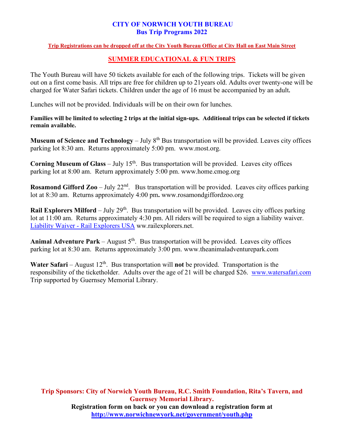### **CITY OF NORWICH YOUTH BUREAU Bus Trip Programs 2022**

#### **Trip Registrations can be dropped off at the City Youth Bureau Office at City Hall on East Main Street**

## **SUMMER EDUCATIONAL & FUN TRIPS**

The Youth Bureau will have 50 tickets available for each of the following trips. Tickets will be given out on a first come basis. All trips are free for children up to 21years old. Adults over twenty-one will be charged for Water Safari tickets. Children under the age of 16 must be accompanied by an adult**.** 

Lunches will not be provided. Individuals will be on their own for lunches.

**Families will be limited to selecting 2 trips at the initial sign-ups. Additional trips can be selected if tickets remain available.** 

**Museum of Science and Technology** – July 8<sup>th</sup> Bus transportation will be provided. Leaves city offices parking lot 8:30 am. Returns approximately 5:00 pm. www.most.org.

**Corning Museum of Glass** – July  $15<sup>th</sup>$ . Bus transportation will be provided. Leaves city offices parking lot at 8:00 am. Return approximately 5:00 pm. www.home.cmog.org

**Rosamond Gifford Zoo** – July 22<sup>nd</sup>. Bus transportation will be provided. Leaves city offices parking lot at 8:30 am. Returns approximately 4:00 pm**.** www.rosamondgiffordzoo.org

**Rail Explorers Milford** – July 29<sup>th</sup>. Bus transportation will be provided. Leaves city offices parking lot at 11:00 am. Returns approximately 4:30 pm. All riders will be required to sign a liability waiver. Liability Waiver - [Rail Explorers USA](https://www.railexplorers.net/book/cooperstown/waiver/6c11db06-fd80-4c16-8985-62176265cf8b) ww.railexplorers.net.

**Animal Adventure Park** – August  $5<sup>th</sup>$ . Bus transportation will be provided. Leaves city offices parking lot at 8:30 am. Returns approximately 3:00 pm. www.theanimaladventurepark.com

**Water Safari** – August  $12^{th}$ . Bus transportation will **not** be provided. Transportation is the responsibility of the ticketholder. Adults over the age of 21 will be charged \$26. [www.watersafari.com](http://www.watersafari.com/) Trip supported by Guernsey Memorial Library.

**Trip Sponsors: City of Norwich Youth Bureau, R.C. Smith Foundation, Rita's Tavern, and Guernsey Memorial Library. Registration form on back or you can download a registration form at <http://www.norwichnewyork.net/government/youth.php>**